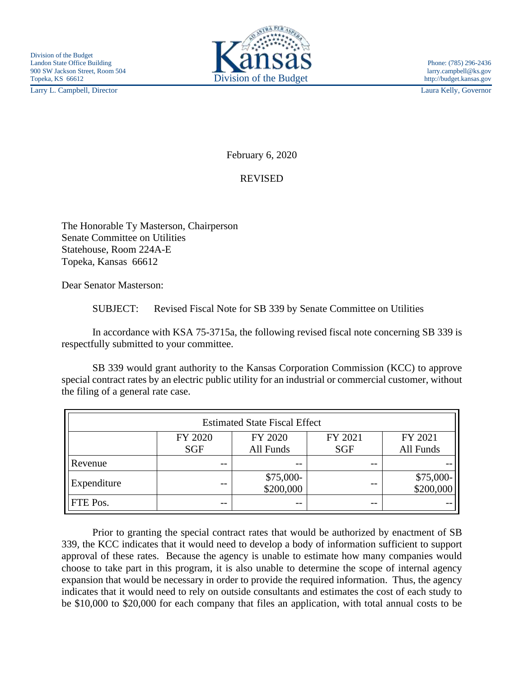Larry L. Campbell, Director Laura Kelly, Governor



February 6, 2020

## REVISED

The Honorable Ty Masterson, Chairperson Senate Committee on Utilities Statehouse, Room 224A-E Topeka, Kansas 66612

Dear Senator Masterson:

SUBJECT: Revised Fiscal Note for SB 339 by Senate Committee on Utilities

In accordance with KSA 75-3715a, the following revised fiscal note concerning SB 339 is respectfully submitted to your committee.

SB 339 would grant authority to the Kansas Corporation Commission (KCC) to approve special contract rates by an electric public utility for an industrial or commercial customer, without the filing of a general rate case.

| <b>Estimated State Fiscal Effect</b> |            |                         |            |                        |
|--------------------------------------|------------|-------------------------|------------|------------------------|
|                                      | FY 2020    | FY 2020                 | FY 2021    | FY 2021                |
|                                      | <b>SGF</b> | All Funds               | <b>SGF</b> | All Funds              |
| Revenue                              | --         | --                      | $ -$       |                        |
| Expenditure                          |            | $$75,000-$<br>\$200,000 |            | \$75,000-<br>\$200,000 |
| FTE Pos.                             | $- -$      | --                      | $ -$       |                        |

Prior to granting the special contract rates that would be authorized by enactment of SB 339, the KCC indicates that it would need to develop a body of information sufficient to support approval of these rates. Because the agency is unable to estimate how many companies would choose to take part in this program, it is also unable to determine the scope of internal agency expansion that would be necessary in order to provide the required information. Thus, the agency indicates that it would need to rely on outside consultants and estimates the cost of each study to be \$10,000 to \$20,000 for each company that files an application, with total annual costs to be